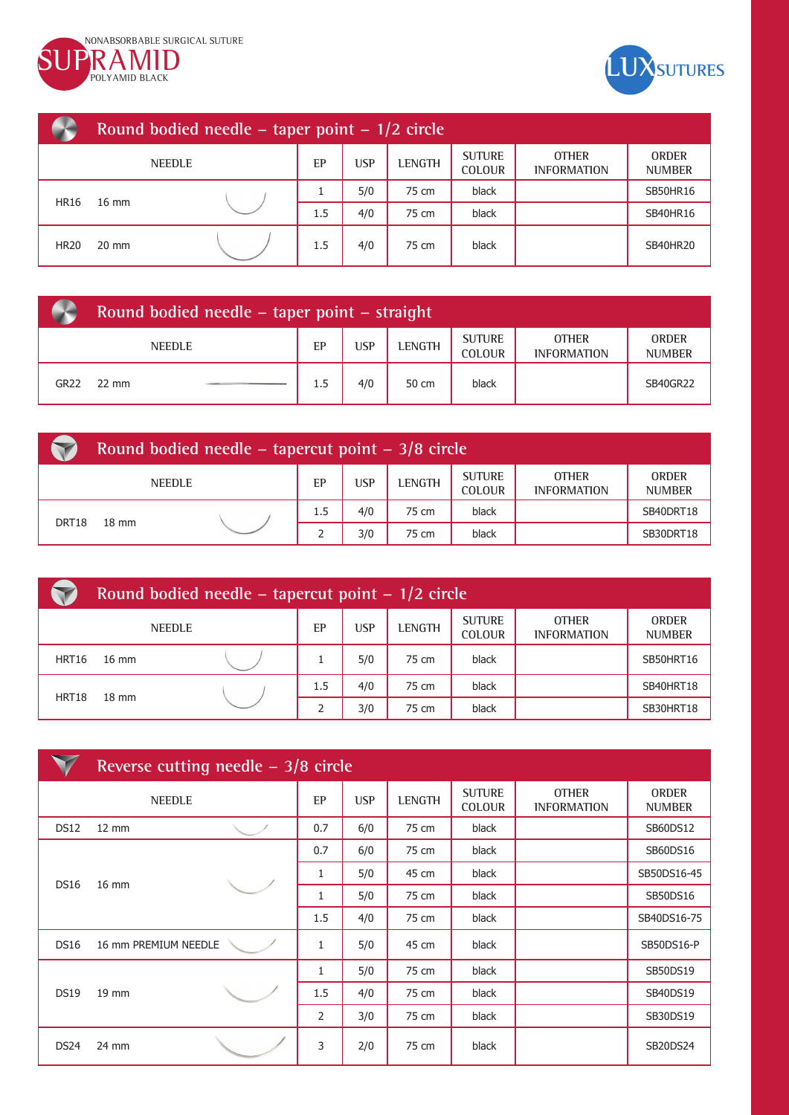



|             | Round bodied needle – taper point – $1/2$ circle |               |     |            |        |                                |                                    |                               |  |
|-------------|--------------------------------------------------|---------------|-----|------------|--------|--------------------------------|------------------------------------|-------------------------------|--|
|             |                                                  | <b>NEEDLE</b> | EP  | <b>USP</b> | LENGTH | <b>SUTURE</b><br><b>COLOUR</b> | <b>OTHER</b><br><b>INFORMATION</b> | <b>ORDER</b><br><b>NUMBER</b> |  |
|             | $16 \text{ mm}$                                  |               |     | 5/0        | 75 cm  | black                          |                                    | <b>SB50HR16</b>               |  |
| <b>HR16</b> |                                                  |               | 1.5 | 4/0        | 75 cm  | black                          |                                    | <b>SB40HR16</b>               |  |
| <b>HR20</b> | $20 \text{ mm}$                                  |               | 1.5 | 4/0        | 75 cm  | black                          |                                    | <b>SB40HR20</b>               |  |

|                  | Round bodied needle – taper point – straight |  |     |     |               |                                |                                    |                               |  |  |
|------------------|----------------------------------------------|--|-----|-----|---------------|--------------------------------|------------------------------------|-------------------------------|--|--|
| <b>NEEDLE</b>    |                                              |  | EP  | USP | <b>LENGTH</b> | <b>SUTURE</b><br><b>COLOUR</b> | <b>OTHER</b><br><b>INFORMATION</b> | <b>ORDER</b><br><b>NUMBER</b> |  |  |
| GR <sub>22</sub> | $22 \text{ mm}$                              |  | 1.5 | 4/0 | 50 cm         | black                          |                                    | SB40GR22                      |  |  |

| Round bodied needle – tapercut point – $3/8$ circle |                 |               |     |     |               |                                |                                    |                               |
|-----------------------------------------------------|-----------------|---------------|-----|-----|---------------|--------------------------------|------------------------------------|-------------------------------|
|                                                     |                 | <b>NEEDLE</b> | EP  | USP | <b>LENGTH</b> | <b>SUTURE</b><br><b>COLOUR</b> | <b>OTHER</b><br><b>INFORMATION</b> | <b>ORDER</b><br><b>NUMBER</b> |
|                                                     | $18 \text{ mm}$ |               | 1.5 | 4/0 | 75 cm         | black                          |                                    | SB40DRT18                     |
| DRT18                                               |                 |               |     | 3/0 | 75 cm         | black                          |                                    | SB30DRT18                     |

| Round bodied needle – tapercut point – $1/2$ circle |                 |               |     |            |               |                                |                                    |                               |  |
|-----------------------------------------------------|-----------------|---------------|-----|------------|---------------|--------------------------------|------------------------------------|-------------------------------|--|
|                                                     |                 | <b>NEEDLE</b> | EP  | <b>USP</b> | <b>LENGTH</b> | <b>SUTURE</b><br><b>COLOUR</b> | <b>OTHER</b><br><b>INFORMATION</b> | <b>ORDER</b><br><b>NUMBER</b> |  |
| HRT16                                               | $16 \text{ mm}$ |               |     | 5/0        | 75 cm         | black                          |                                    | SB50HRT16                     |  |
| HRT18                                               | $18 \text{ mm}$ |               | 1.5 | 4/0        | 75 cm         | black                          |                                    | SB40HRT18                     |  |
|                                                     |                 |               |     | 3/0        | 75 cm         | black                          |                                    | SB30HRT18                     |  |

|                  | Reverse cutting needle $-3/8$ circle |  |                |            |               |                                |                                    |                               |  |
|------------------|--------------------------------------|--|----------------|------------|---------------|--------------------------------|------------------------------------|-------------------------------|--|
|                  | <b>NEEDLE</b>                        |  | EP             | <b>USP</b> | <b>LENGTH</b> | <b>SUTURE</b><br><b>COLOUR</b> | <b>OTHER</b><br><b>INFORMATION</b> | <b>ORDER</b><br><b>NUMBER</b> |  |
| <b>DS12</b>      | $12 \text{ mm}$                      |  | 0.7            | 6/0        | 75 cm         | black                          |                                    | SB60DS12                      |  |
|                  |                                      |  | 0.7            | 6/0        | 75 cm         | black                          |                                    | SB60DS16                      |  |
| <b>DS16</b>      | $16 \text{ mm}$                      |  | 1              | 5/0        | 45 cm         | black                          |                                    | SB50DS16-45                   |  |
|                  |                                      |  | 1              | 5/0        | 75 cm         | black                          |                                    | SB50DS16                      |  |
|                  |                                      |  | 1.5            | 4/0        | 75 cm         | black                          |                                    | SB40DS16-75                   |  |
| <b>DS16</b>      | 16 mm PREMIUM NEEDLE                 |  | $\mathbf{1}$   | 5/0        | 45 cm         | black                          |                                    | SB50DS16-P                    |  |
|                  |                                      |  | $\mathbf{1}$   | 5/0        | 75 cm         | black                          |                                    | SB50DS19                      |  |
| <b>DS19</b>      | 19 mm                                |  | 1.5            | 4/0        | 75 cm         | black                          |                                    | SB40DS19                      |  |
|                  |                                      |  | $\overline{2}$ | 3/0        | 75 cm         | black                          |                                    | SB30DS19                      |  |
| DS <sub>24</sub> | 24 mm                                |  | 3              | 2/0        | 75 cm         | black                          |                                    | SB20DS24                      |  |